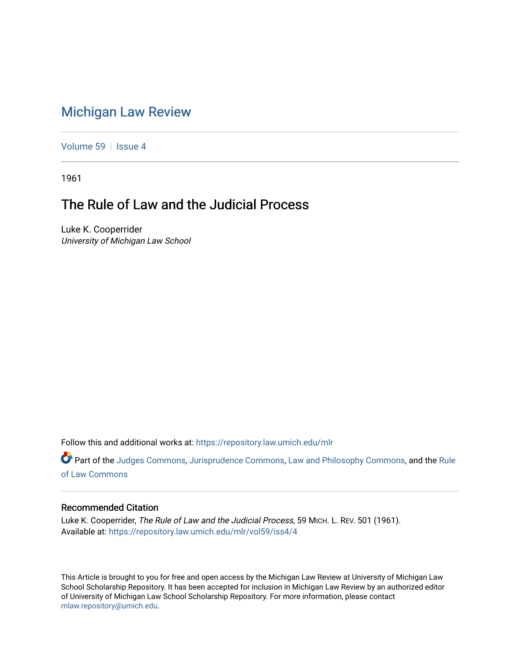## [Michigan Law Review](https://repository.law.umich.edu/mlr)

[Volume 59](https://repository.law.umich.edu/mlr/vol59) | [Issue 4](https://repository.law.umich.edu/mlr/vol59/iss4)

1961

# The Rule of Law and the Judicial Process

Luke K. Cooperrider University of Michigan Law School

Follow this and additional works at: [https://repository.law.umich.edu/mlr](https://repository.law.umich.edu/mlr?utm_source=repository.law.umich.edu%2Fmlr%2Fvol59%2Fiss4%2F4&utm_medium=PDF&utm_campaign=PDFCoverPages) 

Part of the [Judges Commons,](http://network.bepress.com/hgg/discipline/849?utm_source=repository.law.umich.edu%2Fmlr%2Fvol59%2Fiss4%2F4&utm_medium=PDF&utm_campaign=PDFCoverPages) [Jurisprudence Commons](http://network.bepress.com/hgg/discipline/610?utm_source=repository.law.umich.edu%2Fmlr%2Fvol59%2Fiss4%2F4&utm_medium=PDF&utm_campaign=PDFCoverPages), [Law and Philosophy Commons](http://network.bepress.com/hgg/discipline/1299?utm_source=repository.law.umich.edu%2Fmlr%2Fvol59%2Fiss4%2F4&utm_medium=PDF&utm_campaign=PDFCoverPages), and the Rule [of Law Commons](http://network.bepress.com/hgg/discipline/1122?utm_source=repository.law.umich.edu%2Fmlr%2Fvol59%2Fiss4%2F4&utm_medium=PDF&utm_campaign=PDFCoverPages) 

### Recommended Citation

Luke K. Cooperrider, The Rule of Law and the Judicial Process, 59 MICH. L. REV. 501 (1961). Available at: [https://repository.law.umich.edu/mlr/vol59/iss4/4](https://repository.law.umich.edu/mlr/vol59/iss4/4?utm_source=repository.law.umich.edu%2Fmlr%2Fvol59%2Fiss4%2F4&utm_medium=PDF&utm_campaign=PDFCoverPages)

This Article is brought to you for free and open access by the Michigan Law Review at University of Michigan Law School Scholarship Repository. It has been accepted for inclusion in Michigan Law Review by an authorized editor of University of Michigan Law School Scholarship Repository. For more information, please contact [mlaw.repository@umich.edu.](mailto:mlaw.repository@umich.edu)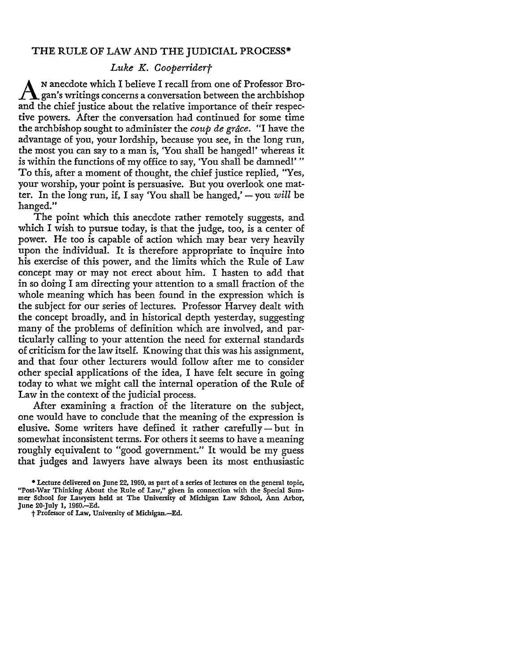#### THE RULE OF LAW AND THE JUDICIAL PROCESS\*

### *Luke K. Cooperriderf*

AN anecdote which I believe I recall from one of Professor Brogan's writings concerns a conversation between the archbishop and the chief justice about the relative importance of their respective powers. After the conversation had continued for some time the archbishop sought to administer the *coup de grace.* "I have the advantage of you, your lordship, because you see, in the long run, the most you can say to a man is, 'You shall be hanged!' whereas it is within the functions of my office to say, 'You shall be damned!' " To this, after a moment of thought, the chief justice replied, "Yes, your worship, your point is persuasive. But you overlook one matter. In the long run, if, I say 'You shall be hanged,' — you *will* be hanged."

The point which this anecdote rather remotely suggests, and which I wish to pursue today, is that the judge, too, is a center of power. He too is capable of action which may bear very heavily upon the individual. It is therefore appropriate to inquire into his exercise of this power, and the limits which the Rule of Law concept may or may not erect about him. I hasten to add that in so doing I am directing your attention to a small fraction of the whole meaning which has been found in the expression which is the subject for our series of lectures. Professor Harvey dealt with the concept broadly, and in historical depth yesterday, suggesting many of the problems of definition which are involved, and particularly calling to your attention the need for external standards of criticism for the law itself. Knowing that this was his assignment, and that four other lecturers would follow after me to consider other special applications of the idea, I have felt secure in going today to what we might call the internal operation of the Rule of Law in the context of the judicial process.

After examining a fraction of the literature on the subject, one would have to conclude that the meaning of the expression is elusive. Some writers have defined it rather carefully  $-$  but in somewhat inconsistent terms. For others it seems to have a meaning roughly equivalent to "good government." It would be my guess that judges and laivyers have always been its most enthusiastic

<sup>•</sup> Lecture delivered on June 22, 1960, as part of a series of lectures on the general topic, "Post-War Thinking About the Rule of Law," given in connection with the Special Summer School for Lawyers held at The University of Michigan Law School, Ann Arbor, June 20-July 1, 1960.-Ed.

t Professor of Law, University of Michigan.-Ed.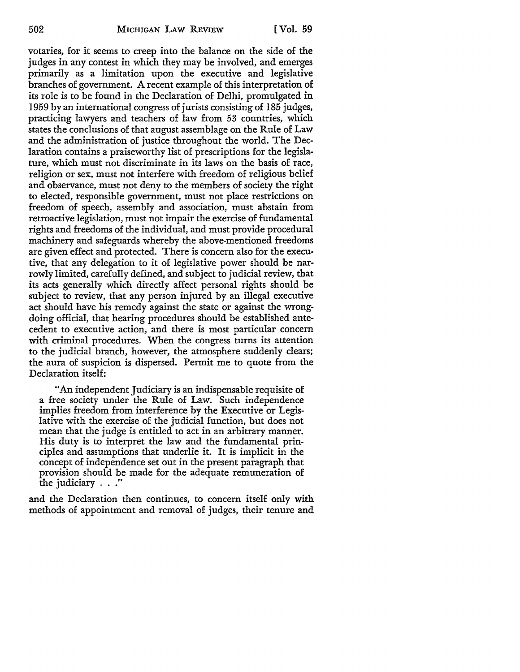votaries, for it seems to creep into the balance on the side of the judges in any contest in which they may be involved, and emerges primarily as a limitation upon the executive and legislative branches of government. A recent example of this interpretation of its role is to be found in the Declaration of Delhi, promulgated in 1959 by an international congress of jurists consisting of 185 judges, practicing lawyers and teachers of law from 53 countries, which states the conclusions of that august assemblage on the Rule of Law and the administration of justice throughout the world. The Declaration contains a praiseworthy list of prescriptions for the legislature, which must not discriminate in its laws on the basis of race, religion or sex, must not interfere with freedom of religious belief and observance, must not deny to the members of society the right to elected, responsible government, must not place restrictions on freedom of speech, assembly and association, must abstain from retroactive legislation, must not impair the exercise of fundamental rights and freedoms of the individual, and must provide procedural machinery and safeguards whereby the above-mentioned freedoms are given effect and protected. There is concern also for the executive, that any delegation to it of legislative power should be narrowly limited, carefully defined, and subject to judicial review, that its acts generally which directly affect personal rights should be subject to review, that any person injured by an illegal executive act should have his remedy against the state or against the wrongdoing official, that hearing procedures should be established antecedent to executive action, and there is most particular concern with criminal procedures. When the congress turns its attention to the judicial branch, however, the atmosphere suddenly clears; the aura of suspicion is dispersed. Permit me to quote from the Declaration itself:

"An independent Judiciary is an indispensable requisite of a free society under the Rule of Law. Such independence implies freedom from interference by the Executive or Legislative with the exercise of the judicial function, but does not mean that the judge is entitled to act in an arbitrary manner. His duty is to interpret the law and the fundamental principles and assumptions that underlie it. It is implicit in the concept of independence set out in the present paragraph that provision should be made for the adequate remuneration of the judiciary ... "

and the Declaration then continues, to concern itself only with methods of appointment and removal of judges, their tenure and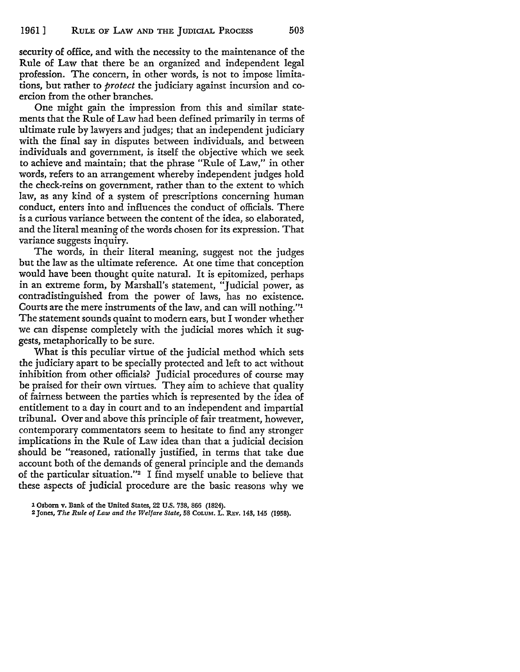security of office, and with the necessity to the maintenance of the Rule of Law that there be an organized and independent legal profession. The concern, in other words, is not to impose limitations, but rather to *protect* the judiciary against incursion and coercion from the other branches.

One might gain the impression from this and similar statements that the Rule of Law had been defined primarily in terms of ultimate rule by lawyers and judges; that an independent judiciary with the final say in disputes between individuals, and between individuals and government, is itself the objective which we seek to achieve and maintain; that the phrase "Rule of Law," in other words, refers to an arrangement whereby independent judges hold the check-reins on government, rather than to the extent to which law, as any kind of a system of prescriptions concerning human conduct, enters into and influences the conduct of officials. There is a curious variance between the content of the idea, so elaborated, and the literal meaning of the words chosen for its expression. That variance suggests inquiry.

The words, in their literal meaning, suggest not the judges but the law as the ultimate reference. At one time that conception would have been thought quite natural. It is epitomized, perhaps in an extreme form, by Marshall's statement, "Judicial power, as contradistinguished from the power of laws, has no existence. Courts are the mere instruments of the law, and can will nothing."1 The statement sounds quaint to modem ears, but I wonder whether we can dispense completely with the judicial mores which it suggests, metaphorically to be sure.

What is this peculiar virtue of the judicial method which sets the judiciary apart to be specially protected and left to act without inhibition from other officials? Judicial procedures of course may be praised for their own virtues. They aim to achieve that quality of fairness between the parties which is represented by the idea of entitlement to a day in court and to an independent and impartial tribunal. Over and above this principle of fair treatment, however, contemporary commentators seem to hesitate to find any stronger implications in the Rule of Law idea than that a judicial decision should be "reasoned, rationally justified, in terms that take due account both of the demands of general principle and the demands of the particular situation."2 I find myself unable to believe that these aspects of judicial procedure are the basic reasons why we

2 Jones, *The Rule of Law and the Welfare State,* 58 CoLUM. L. REv. 143, 145 (1958).

<sup>1</sup> Osborn v. Bank of the United States, 22 U.S. 738, 866 (1824).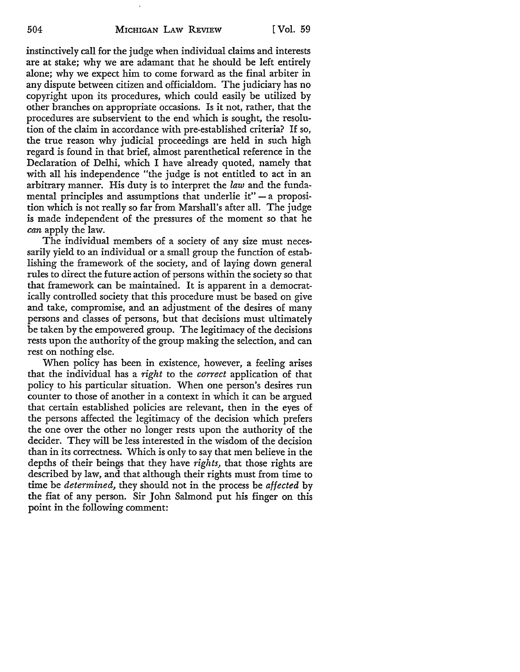instinctively call for the judge when individual claims and interests are at stake; why we are adamant that he should be left entirely alone; why we expect him to come fonvard as the final arbiter in any dispute between citizen and officialdom. The judiciary has no copyright upon its procedures, which could easily be utilized by other branches on appropriate occasions. Is it not, rather, that the procedures are subservient to the end which is sought, the resolution of the claim in accordance with pre-established criteria? If so, the true reason why judicial proceedings are held in such high regard is found in that brief, almost parenthetical reference in the Declaration of Delhi, which I have already quoted, namely that with all his independence "the judge is not entitled to act in an arbitrary manner. His duty is to interpret the *law* and the fundamental principles and assumptions that underlie  $it'' - a$  proposition which is not really so far from Marshall's after all. The judge is made independent of the pressures of the moment so that he *can* apply the law.

The individual members of a society of any size must necessarily yield to an individual or a small group the function of establishing the framework of the society, and of laying down general rules to direct the future action of persons within the society so that that framework can be maintained. It is apparent in a democratically controlled society that this procedure must be based on give and take, compromise, and an adjustment of the desires of many persons and classes of persons, but that decisions must ultimately be taken by the empowered group. The legitimacy of the decisions rests upon the authority of the group making the selection, and can rest on nothing else.

When policy has been in existence, however, a feeling arises that the individual has a *right* to the *correct* application of that policy to his particular situation. When one person's desires run counter to those of another in a context in which it can be argued that certain established policies are relevant, then in the eyes of the persons affected the legitimacy of the decision which prefers the one over the other no longer rests upon the authority of the decider. They will be less interested in the wisdom of the decision than in its correctness. Which is only to say that men believe in the depths of their beings that they have *rights,* that those rights are described by law, and that although their rights must from time to time be *determined,* they should not in the process be *affected* by the fiat of any person. Sir John Salmond put his finger on this point in the following comment: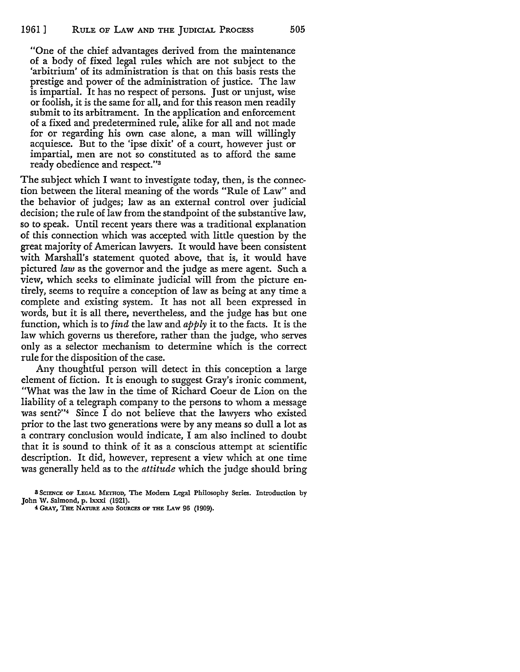"One of the chief advantages derived from the maintenance of a body of fixed legal rules which are not subject to the 'arbitrium' of its administration is that on this basis rests the prestige and power of the administration of justice. The law is impartial. It has no respect of persons. Just or unjust, wise or foolish, it is the same for all, and for this reason men readily submit to its arbitrament. In the application and enforcement of a fixed and predetermined rule, alike for all and not made for or regarding his own case alone, a man will willingly acquiesce. But to the 'ipse dixit' of a court, however just or impartial, men are not so constituted as to afford the same ready obedience and respect."<sup>3</sup>

The subject which I want to investigate today, then, is the connection between the literal meaning of the words "Rule of Law" and the behavior of judges; law as an external control over judicial decision; the rule of law from the standpoint of the substantive law, so to speak. Until recent years there was a traditional explanation of this connection which was accepted with little question by the great majority of American lawyers. It would have been consistent with Marshall's statement quoted above, that is, it would have pictured *law* as the governor and the judge as mere agent. Such a view, which seeks to eliminate judicial will from the picture entirely, seems to require a conception of law as being at any time a complete and existing system. It has not all been expressed in words, but it is all there, nevertheless, and the judge has but one function, which is to *find* the law and *apply* it to the facts. It is the law which governs us therefore, rather than the judge, who serves only as a selector mechanism to determine which is the correct rule for the disposition of the case.

Any thoughtful person will detect in this conception a large element of fiction. It is enough to suggest Gray's ironic comment, "What was the law in the time of Richard Coeur de Lion on the liability of a telegraph company to the persons to whom a message was sent?"<sup>4</sup> Since I do not believe that the lawyers who existed prior to the last two generations were by any means so dull a lot as a contrary conclusion would indicate, I am also inclined to doubt that it is sound to think of it as a conscious attempt at scientific description. It did, however, represent a view which at one time was generally held as to the *attitude* which the judge should bring

<sup>8</sup> SCIENCE OF LEGAL METHOD, The Modem Legal Philosophy Series. Introduction by John W. Salmond, p. 1xxxi (1921).

<sup>4</sup> GRAY, THE NATURE AND SOURCES OF TilE LAW 96 (1909).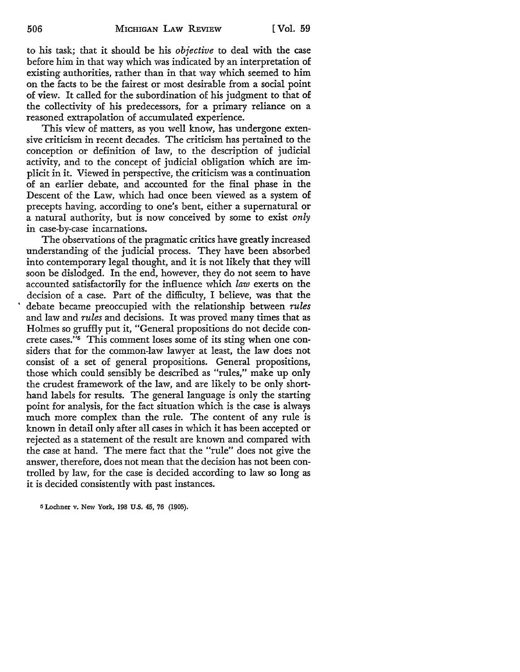to his task; that it should be his *objective* to deal with the case before him in that way which was indicated by an interpretation of existing authorities, rather than in that way which seemed to him on the facts to be the fairest or most desirable from a social point of view. It called for the subordination of his judgment to that of the collectivity of his predecessors, for a primary reliance on a reasoned extrapolation of accumulated experience.

This view of matters, as you well know, has undergone extensive criticism in recent decades. The criticism has pertained to the conception or definition of law, to the description of judicial activity, and to the concept of judicial obligation which are implicit in it. Viewed in perspective, the criticism was a continuation of an earlier debate, and accounted for the final phase in the Descent of the Law, which had once been viewed as a system of precepts having, according to one's bent, either a supernatural or a natural authority, but is now conceived by some to exist *only*  in case-by-case incarnations.

The observations of the pragmatic critics have greatly increased understanding of the judicial process. They have been absorbed into contemporary legal thought, and it is not likely that they will soon be dislodged. In the end, however, they do not seem to have accounted satisfactorily for the influence which *law* exerts on the decision of a case. Part of the difficulty, I believe, was that the · debate became preoccupied with the relationship between *rules*  and law and *rules* and decisions. It was proved many times that as Holmes so gruffly put it, "General propositions do not decide concrete cases."5 This comment loses some of its sting when one considers that for the common-law lawyer at least, the law does not consist of a set of general propositions. General propositions, those which could sensibly be described as "rules," make up only the crudest framework of the law, and are likely to be only shorthand labels for results. The general language is only the starting point for analysis, for the fact situation which is the case is always much more complex than the rule. The content of any rule is known in detail only after all cases in which it has been accepted or rejected as a statement of the result are known and compared with the case at hand. The mere fact that the "rule" does not give the answer, therefore, does not mean that the decision has not been controlled by law, for the case is decided according to law so long as it is decided consistently with past instances.

<sup>5</sup> Lochner v. New York, 198 U.S. 45, 76 (1905).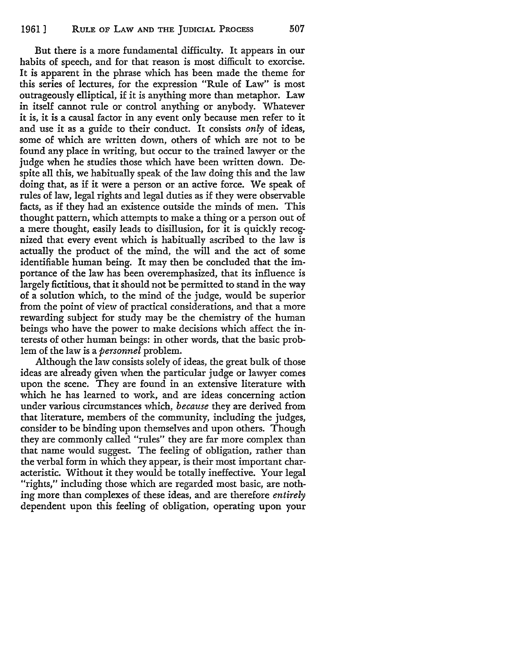But there is a more fundamental difficulty. It appears in our habits of speech, and for that reason is most difficult to exorcise. It is apparent in the phrase which has been made the theme for this series of lectures, for the expression "Rule of Law" is most outrageously elliptical, if it is anything more than metaphor. Law in itself cannot rule or control anything or anybody. Whatever it is, it is a causal factor in any event only because men refer to it and use it as a guide to their conduct. It consists *only* of ideas, some of which are written down, others of which are not to be found any place in writing, but occur to the trained lawyer or the judge when he studies those which have been written down. Despite all this, we habitually speak of the law doing this and the law doing that, as if it were a person or an active force. We speak of rules of law, legal rights and legal duties as if they were observable facts, as if they had an existence outside the minds of men. This thought pattern, which attempts to make a thing or a person out of a mere thought, easily leads to disillusion, for it is quickly recognized that every event which is habitually ascribed to the law is actually the product of the mind, the will and the act of some identifiable human being. It may then be concluded that the importance of the law has been overemphasized, that its influence is largely fictitious, that it should not be permitted to stand in the way of a solution which, to the mind of the judge, would be superior from the point of view of practical considerations, and that a more rewarding subject for study may be the chemistry of the human beings who have the power to make decisions which affect the interests of other human beings: in other words, that the basic problem of the law is a *personnel* problem.

Although the law consists solely of ideas, the great bulk of those ideas are already given when the particular judge or lawyer comes upon the scene. They are found in an extensive literature with which he has learned to work, and are ideas concerning action under various circumstances which, *because* they are derived from that literature, members of the community, including the judges, consider to be binding upon themselves and upon others. Though they are commonly called "rules" they are far more complex than that name would suggest. The feeling of obligation, rather than the verbal form in which they appear, is their most important characteristic. Without it they would be totally ineffective. Your legal "rights," including those which are regarded most basic, are nothing more than complexes of these ideas, and are therefore *entirely*  dependent upon this feeling of obligation, operating upon your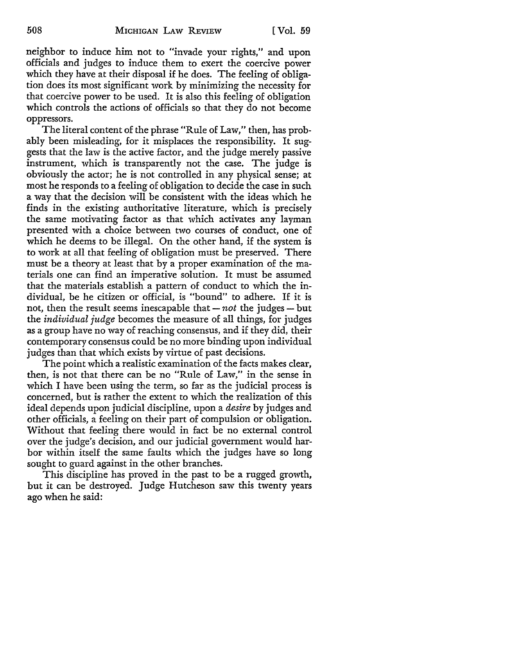neighbor to induce him not to "invade your rights," and upon officials and judges to induce them to exert the coercive power which they have at their disposal if he does. The feeling of obligation does its most significant work by minimizing the necessity for that coercive power to be used. It is also this feeling of obligation which controls the actions of officials so that they do not become oppressors.

The literal content of the phrase "Rule of Law," then, has probably been misleading, for it misplaces the responsibility. It suggests that the law is the active factor, and the judge merely passive instrument, which is transparently not the case. The judge is obviously the actor; he is not controlled in any physical sense; at most he responds to a feeling of obligation to decide the case in such a way that the decision will be consistent with the ideas which he finds in the existing authoritative literature, which is precisely the same motivating factor as that which activates any layman presented with a choice between two courses of conduct, one of which he deems to be illegal. On the other hand, if the system is to work at all that feeling of obligation must be preserved. There must be a theory at least that by a proper examination of the materials one can find an imperative solution. It must be assumed that the materials establish a pattern of conduct to which the individual, be he citizen or official, is "bound" to adhere. If it is not, then the result seems inescapable that  $- not$  the judges  $- but$ the *individual judge* becomes the measure of all things, for judges as a group have no way of reaching consensus, and if they did, their contemporary consensus could be no more binding upon individual judges than that which exists by virtue of past decisions.

The point which a realistic examination of the facts makes clear, then, is not that there can be no "Rule of Law," in the sense in which I have been using the term, so far as the judicial process is concerned, but is rather the extent to which the realization of this ideal depends upon judicial discipline, upon a *desire* by judges and other officials, a feeling on their part of compulsion or obligation. Without that feeling there would in fact be no external control over the judge's decision, and our judicial government would harbor within itself the same faults which the judges have so long sought to guard against in the other branches.

This discipline has proved in the past to be a rugged growth, but it can be destroyed. Judge Hutcheson saw this twenty years ago when he said: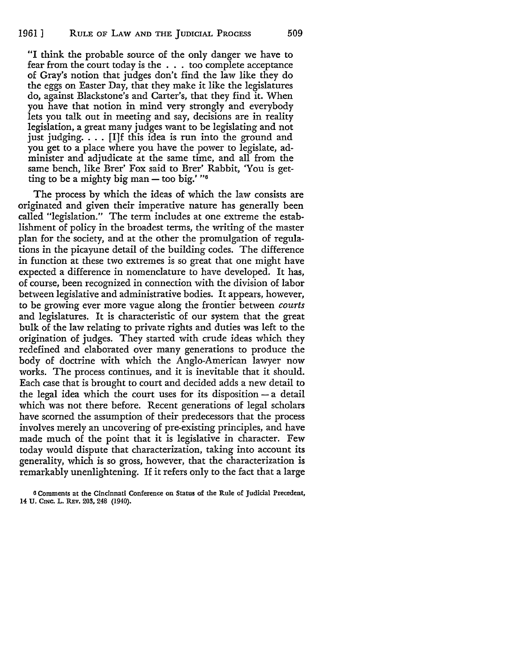"I think the probable source of the only danger we have to fear from the court today is the . . . too complete acceptance of Gray's notion that judges don't find the law like they do the eggs on Easter Day, that they make it like the legislatures do, against Blackstone's and Carter's, that they find it. When you have that notion in mind very strongly and everybody lets you talk out in meeting and say, decisions are in reality legislation, a great many judges want to be legislating and not just judging. . . . [I]f this idea is run into the ground and you get to a place where you have the power to legislate, administer and adjudicate at the same time, and all from the same bench, like Brer' Fox said to Brer' Rabbit, 'You is getting to be a mighty big man  $-$  too big.' " $\degree$ 

The process by which the ideas of which the law consists are originated and given their imperative nature has generally been called "legislation." The term includes at one extreme the establishment of policy in the broadest terms, the writing of the master plan for the society, and at the other the promulgation of regulations in the picayune detail of the building codes. The difference in function at these two extremes is so great that one might have expected a difference in nomenclature to have developed. It has, of course, been recognized in connection with the division of labor between legislative and administrative bodies. It appears, however, to be growing ever more vague along the frontier between *courts*  and legislatures. It is characteristic of our system that the great bulk of the law relating to private rights and duties was left to the origination of judges. They started with crude ideas which they redefined and elaborated over many generations to produce the body of doctrine with which the Anglo-American lawyer now works. The process continues, and it is inevitable that it should. Each case that is brought to court and decided adds a new detail to the legal idea which the court uses for its disposition  $-a$  detail which was not there before. Recent generations of legal scholars have scorned the assumption of their predecessors that the process involves merely an uncovering of pre-existing principles, and have made much of the point that it is legislative in character. Few today would dispute that characterization, taking into account its generality, which is so gross, however, that the characterization is remarkably unenlightening. If it refers only to the fact that a large

<sup>6</sup> Comments at the Cincinnati Conference on Status of the Rule of Judicial Precedent, 14 u. CrNC. L. REv. 203,248 (1940).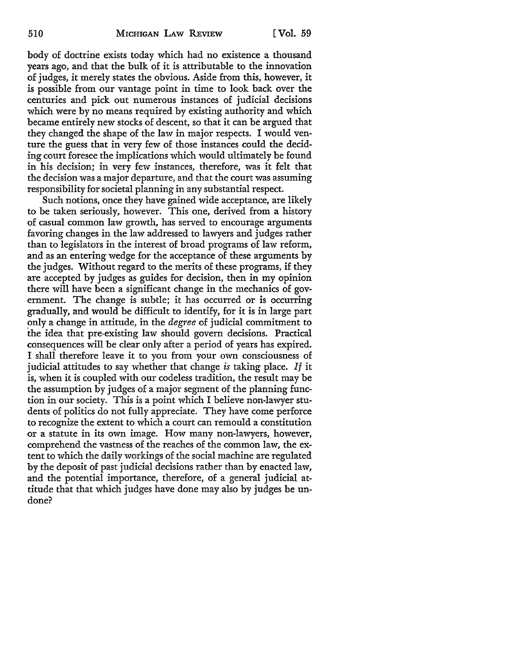body of doctrine exists today which had no existence a thousand years ago, and that the bulk of it is attributable to the innovation of judges, it merely states the obvious. Aside from this, however, it is possible from our vantage point in time to look back over the centuries and pick out numerous instances of judicial decisions which were by no means required by existing authority and which became entirely new stocks of descent, so that it can be argued that they changed the shape of the law in major respects. I would venture the guess that in very few of those instances could the deciding court foresee the implications which would ultimately be found in his decision; in very few instances, therefore, was it felt that the decision was a major departure, and that the court was assuming responsibility for societal planning in any substantial respect.

Such notions, once they have gained wide acceptance, are likely to be taken seriously, however. This one, derived from a history of casual common law growth, has served to encourage arguments favoring changes in the law addressed to lawyers and judges rather than to legislators in the interest of broad programs of law reform, and as an entering wedge for the acceptance of these arguments by the judges. Without regard to the merits of these programs, if they are accepted by judges as guides for decision, then in my opinion there will have been a significant change in the mechanics of government. The change is subtle; it has occurred or is occurring gradually, and would be difficult to identify, for it is in large part only a change in attitude, in the *degree* of judicial commitment to the idea that pre-existing law should govern decisions. Practical consequences will be clear only after a period of years has expired. I shall therefore leave it to you from your own consciousness of judicial attitudes to say whether that change *is* taking place. If it is, when it is coupled with our codeless tradition, the result may be the assumption by judges of a major segment of the planning function in our society. This is a point which I believe non-lawyer students of politics do not fully appreciate. They have come perforce to recognize the extent to which a court can remould a constitution or a statute in its own image. How many non-lawyers, however, comprehend the vastness of the reaches of the common law, the extent to which the daily workings of the social machine are regulated by the deposit of past judicial decisions rather than by enacted law, and the potential importance, therefore, of a general judicial attitude that that which judges have done may also by judges be undone?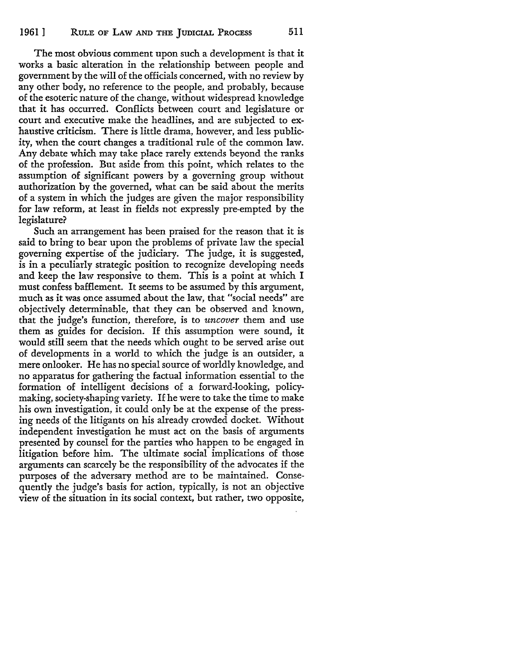The most obvious comment upon such a development is that it works a basic alteration in the relationship between people and government by the will of the officials concerned, with no review by any other body, no reference to the people, and probably, because of the esoteric nature of the change, without widespread knowledge that it has occurred. Conflicts between court and legislature or court and executive make the headlines, and are subjected to exhaustive criticism. There is little drama, however, and less publicity, when the court changes a traditional rule of the common law. Any debate which may take place rarely extends beyond the ranks of the profession. But aside from this point, which relates to the assumption of significant powers by a governing group without authorization by the governed, what can be said about the merits of a system in which the judges are given the major responsibility for law reform, at least in fields not expressly pre-empted by the legislature?

Such an arrangement has been praised for the reason that it is said to bring to bear upon the problems of private law the special governing expertise of the judiciary. The judge, it is suggested, is in a peculiarly strategic position to recognize developing needs and keep the law responsive to them. This is a point at which I must confess bafflement. It seems to be assumed by this argument, much as it was once assumed about the law, that "social needs" are objectively determinable, that they can be observed and known, that the judge's function, therefore, is to *uncover* them and use them as guides for decision. If this assumption were sound, it would still seem that the needs which ought to be served arise out of developments in a world to which the judge is an outsider, a mere onlooker. He has no special source of worldly knowledge, and no apparatus for gathering the factual information essential to the formation of intelligent decisions of a forward-looking, policymaking, society-shaping variety. If he were to take the time to make his own investigation, it could only be at the expense of the pressing needs of the litigants on his already crowded docket. Without independent investigation he must act on the basis of arguments presented by counsel for the parties who happen to be engaged in litigation before him. The ultimate social implications of those arguments can scarcely be the responsibility of the advocates if the purposes of the adversary method are to be maintained. Consequently the judge's basis for action, typically, is not an objective view of the situation in its social context, but rather, two opposite,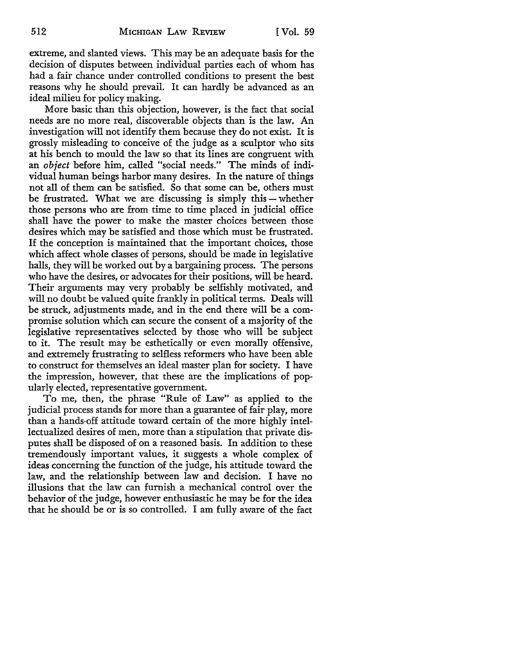extreme, and slanted views. This may be an adequate basis for the decision of disputes between individual parties each of whom has had a fair chance under controlled conditions to present the best reasons why he should prevail. It can hardly be advanced as an ideal milieu for policy making.

More basic than this objection, however, is the fact that social needs are no more real, discoverable objects than is the law. An investigation will not identify them because they do not exist. It is grossly misleading to conceive of the judge as a sculptor who sits at his bench to mould the law so that its lines are congruent with an *object* before him, called "social needs." The minds of individual human beings harbor many desires. In the nature of things not all of them can be satisfied. So that some can be, others must be frustrated. What we are discussing is simply this  $-$  whether those persons who are from time to time placed in judicial office shall have the power to make the master choices between those desires which may be satisfied and those which must be frustrated. If the conception is maintained that the important choices, those which affect whole classes of persons, should be made in legislative halls, they will be worked out by a bargaining process. The persons who have the desires, or advocates for their positions, will be heard. Their arguments may very probably be selfishly motivated, and will no doubt be valued quite frankly in political terms. Deals will be struck, adjustments made, and in the end there will be a compromise solution which can secure the consent of a majority of the legislative representatives selected by those who will be subject to it. The result may be esthetically or even morally offensive, and extremely frustrating to selfless reformers who have been able to construct for themselves an ideal master plan for society. I have the impression, however, that these are the implications of popularly elected, representative government.

To me, then, the phrase "Rule of Law" as applied to the judicial process stands for more than a guarantee of fair play, more than a hands-off attitude toward certain of the more highly intellectualized desires of men, more than a stipulation that private disputes shall be disposed of on a reasoned basis. In addition to these tremendously important values, it suggests a whole complex of ideas concerning the function of the judge, his attitude toward the law, and the relationship between law and decision. I have no illusions that the law can furnish a mechanical control over the behavior of the judge, however enthusiastic he may be for the idea that he should be or is so controlled. I am fully aware of the fact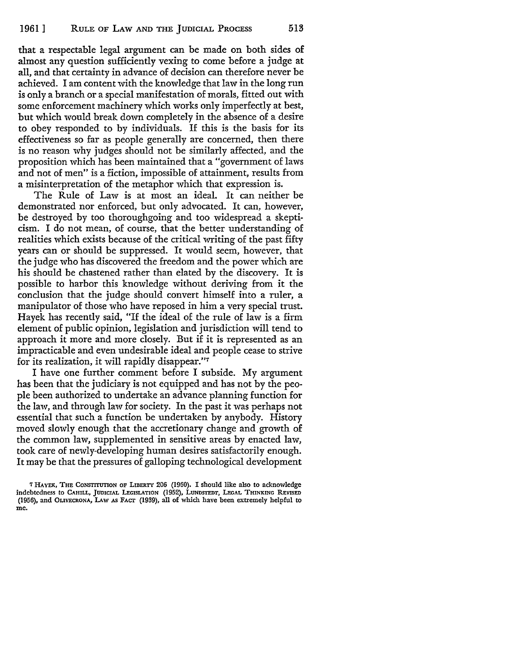that a respectable legal argument can be made on both sides of almost any question sufficiently vexing to come before a judge at all, and that certainty in advance of decision can therefore never be achieved. I am content with the knowledge that law in the long run is only a branch or a special manifestation of morals, fitted out with some enforcement machinery which works only imperfectly at best, but which would break down completely in the absence of a desire to obey responded to by individuals. If this is the basis for its effectiveness so far as people generally are concerned, then there is no reason why judges should not be similarly affected, and the proposition which has been maintained that a "government of laws and not of men" is a fiction, impossible of attainment, results from a misinterpretation of the metaphor which that expression is.

The Rule of Law is at most an ideal. It can neither be demonstrated nor enforced, but only advocated. It can, however, be destroyed by too thoroughgoing and too widespread a skepticism. I do not mean, of course, that the better understanding of realities which exists because of the critical writing of the past fifty years can or should be suppressed. It would seem, however, that the judge who has discovered the freedom and the power which are his should be chastened rather than elated by the discovery. It is possible to harbor this knowledge without deriving from it the conclusion that the judge should convert himself into a ruler, a manipulator of those who have reposed in him a very special trust. Hayek has recently said, "If the ideal of the rule of law is a firm element of public opinion, legislation and jurisdiction will tend to approach it more and more closely. But if it is represented as an impracticable and even undesirable ideal and people cease to strive for its realization, it will rapidly disappear."<sup>7</sup>

I have one further comment before I subside. My argument has been that the judiciary is not equipped and has not by the people been authorized to undertake an advance planning function for the law, and through law for society. In the past it was perhaps not essential that such a function be undertaken by anybody. History moved slowly enough that the accretionary change and growth of the common law, supplemented in sensitive areas by enacted law, took care of newly-developing human desires satisfactorily enough. It may be that the pressures of galloping technological development

<sup>7</sup> HAYEK, THE CONSTITUTION OF LIBERTY 206 (1960). I should like also to acknowledge indebtedness to CAHILL, JUDICIAL LEGISLATION (1952), LUNDSTEDT, LEGAL THINKING REVISED (1956), and OLIVECRONA, LAw AS FAcr (1939), all of which have been extremely helpful to me.